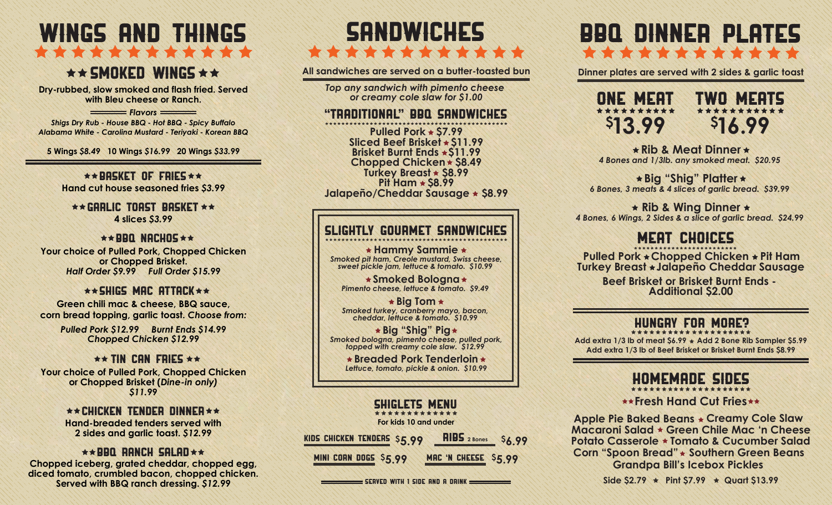# WINGS AND THINGS THE REPORT OF THE PARTIES OF THE REPORT OF

# $\star \star$  SMOKED WINGS  $\star \star$

**Dry-rubbed, slow smoked and flash fried. Served with Bleu cheese or Ranch.**

**Flavors** *Shigs Dry Rub - House BBQ - Hot BBQ - Spicy Buffalo Alabama White - Carolina Mustard - Teriyaki - Korean BBQ*

**5 Wings** *\$8.49* **10 Wings** *\$16.99* **20 Wings** *\$33.99*

 $\star\star$ BASKET OF FRIES  $\star\star$ **Hand cut house seasoned fries** *\$3.99*

 $\star\star$  Garlic toast basket  $\star\star$ **4 slices** *\$3.99*

#### $\star\star$ BBQ NACHOS  $\star\star$

**Your choice of Pulled Pork, Chopped Chicken or Chopped Brisket.** *Half Order \$9.99 Full Order \$15.99*

#### $\star\star$  shigs mac attack  $\star\star$

**Green chili mac & cheese, BBQ sauce, corn bread topping, garlic toast.** *Choose from:*

> *Pulled Pork \$12.99 Burnt Ends \$14.99 Chopped Chicken \$12.99*

#### $\star\star$  TIN CAN FRIES  $\star\star$

**Your choice of Pulled Pork, Chopped Chicken or Chopped Brisket (***Dine-in only) \$11.99*

#### $\star\star$  Chicken Tender Dinner  $\star\star$ **Hand-breaded tenders served with 2 sides and garlic toast.** *\$12.99*

#### $\star\star$ BBQ RANCH SALAD $\star\star$

**Chopped iceberg, grated cheddar, chopped egg, diced tomato, crumbled bacon, chopped chicken. Served with BBQ ranch dressing.** *\$12.99*

# SHIWIM!!! \*\*\*\*\*\*\*\*\*\*\*\*\*

**All sandwiches are served on a butter-toasted bun**

*Top any sandwich with pimento cheese or creamy cole slaw for \$1.00*

#### "Traditional" bbq sandwiches

**Pit Ham \$8.99 Pulled Pork \$7.99 Turkey Breast \$8.99 Brisket Burnt Ends \$11.99 Sliced Beef Brisket \$11.99 Chopped Chicken \$8.49 Jalapeño/Cheddar Sausage \$8.99**

### Slightly gourmet sandwiches

*Smoked pit ham, Creole mustard, Swiss cheese, sweet pickle jam, lettuce & tomato. \$10.99*  **Hammy Sammie**

*Pimento cheese, lettuce & tomato. \$9.49*  **Smoked Bologna**

*Smoked turkey, cranberry mayo, bacon, cheddar, lettuce & tomato. \$10.99*  **Big Tom**

*Smoked bologna, pimento cheese, pulled pork, topped with creamy cole slaw. \$12.99*  **Big "Shig" Pig**

> *Lettuce, tomato, pickle & onion. \$10.99* **Breaded Pork Tenderloin**

### SHiglets Menu

**MINI CORN DOGS \$5.99 MAC 'N CHEESE \$5.99 KIDS CHICKEN TENDERS \$5.99 <b>RIBS** 2 Bones \$6.99 **For kids 10 and under**

 $\equiv$  Served with 1 side and a drink  $\equiv$ 

# FREE DINNER PLATES \*\*\*\*\*\*\*\*\*\*\*\*

**Dinner plates are served with 2 sides & garlic toast**



*4 Bones and 1/3lb. any smoked meat. \$20.95*  **Rib & Meat Dinner**

*6 Bones, 3 meats & 4 slices of garlic bread. \$39.99*  **Big "Shig" Platter**

*4 Bones, 6 Wings, 2 Sides & a slice of garlic bread. \$24.99*  **Rib & Wing Dinner**

## MERENHINES

**Pulled Pork Chopped Chicken Pit Ham Turkey Breast Jalapeño Cheddar Sausage**

> **Beef Brisket or Brisket Burnt Ends - Additional \$2.00**

#### Hungry FOR MORE?

**Add extra 1/3 lb of Beef Brisket or Brisket Burnt Ends \$8.99 Add extra 1/3 lb of meat \$6.99 Add 2 Bone Rib Sampler \$5.99**

# HOMEMADE sides

**Fresh Hand Cut Fries** 

**Apple Pie Baked Beans Creamy Cole Slaw Southern Green Beans Corn "Spoon Bread" Grandpa Bill's Icebox Pickles Potato Casserole Tomato & Cucumber Salad Macaroni Salad Green Chile Mac 'n Cheese**

Side  $$2.79$   $\star$  Pint  $$7.99$   $\star$  Quart  $$13.99$